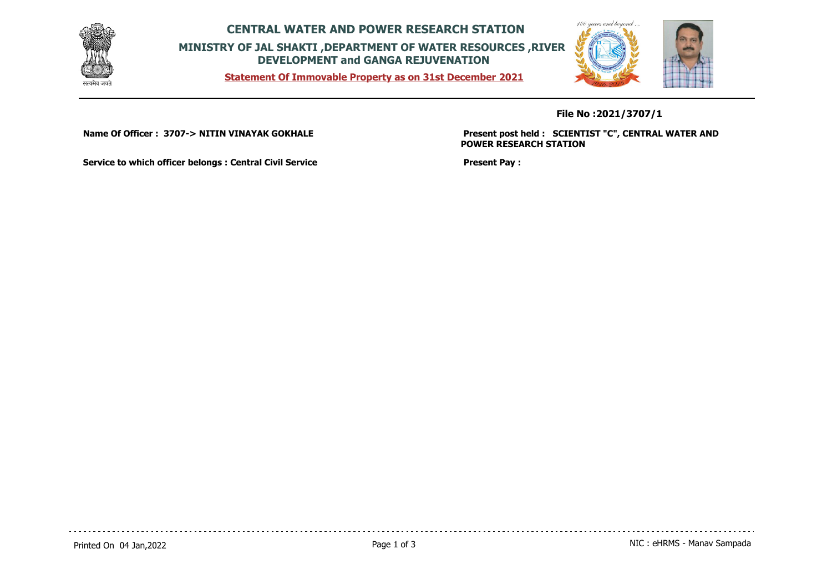

**CENTRAL WATER AND POWER RESEARCH STATION MINISTRY OF JAL SHAKTI ,DEPARTMENT OF WATER RESOURCES ,RIVER DEVELOPMENT and GANGA REJUVENATION**

**Statement Of Immovable Property as on 31st December 2021**



**File No :2021/3707/1**

**Name Of Officer : 3707-> NITIN VINAYAK GOKHALE** 

**Present post held : SCIENTIST "C", CENTRAL WATER AND POWER RESEARCH STATION**

**Service to which officer belongs : Central Civil Service**

**Present Pay :**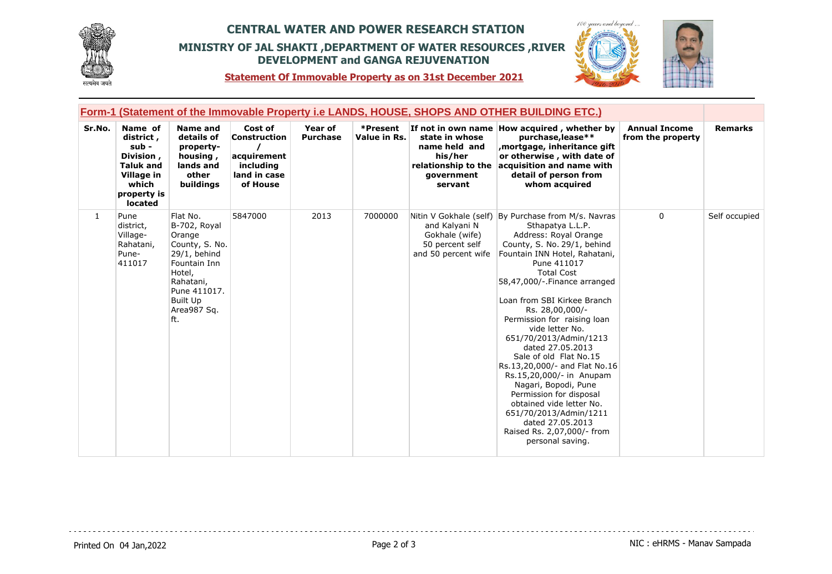

## **CENTRAL WATER AND POWER RESEARCH STATION MINISTRY OF JAL SHAKTI ,DEPARTMENT OF WATER RESOURCES ,RIVER DEVELOPMENT and GANGA REJUVENATION**



**Statement Of Immovable Property as on 31st December 2021**

|        | <u>Form-1 (Statement of the Immovable Property i.e LANDS, HOUSE, SHOPS AND OTHER BUILDING ETC.)</u>                    |                                                                                                                                                                  |                                                                                 |                            |                          |                                                                                            |                                                                                                                                                                                                                                                                                                                                                                                                                                                                                                                                                                                                                                                              |                                           |                |
|--------|------------------------------------------------------------------------------------------------------------------------|------------------------------------------------------------------------------------------------------------------------------------------------------------------|---------------------------------------------------------------------------------|----------------------------|--------------------------|--------------------------------------------------------------------------------------------|--------------------------------------------------------------------------------------------------------------------------------------------------------------------------------------------------------------------------------------------------------------------------------------------------------------------------------------------------------------------------------------------------------------------------------------------------------------------------------------------------------------------------------------------------------------------------------------------------------------------------------------------------------------|-------------------------------------------|----------------|
| Sr.No. | Name of<br>district,<br>sub -<br>Division,<br><b>Taluk and</b><br>Village in<br>which<br>property is<br><b>located</b> | <b>Name and</b><br>details of<br>property-<br>housing,<br>lands and<br>other<br>buildings                                                                        | Cost of<br>Construction<br>acquirement<br>including<br>land in case<br>of House | Year of<br><b>Purchase</b> | *Present<br>Value in Rs. | state in whose<br>name held and<br>his/her<br>relationship to the<br>government<br>servant | If not in own name How acquired, whether by<br>purchase, lease**<br>mortgage, inheritance gift<br>or otherwise, with date of<br>acquisition and name with<br>detail of person from<br>whom acquired                                                                                                                                                                                                                                                                                                                                                                                                                                                          | <b>Annual Income</b><br>from the property | <b>Remarks</b> |
| 1      | Pune<br>district,<br>Village-<br>Rahatani,<br>Pune-<br>411017                                                          | Flat No.<br>B-702, Royal<br>Orange<br>County, S. No.<br>$29/1$ , behind<br>Fountain Inn<br>Hotel,<br>Rahatani,<br>Pune 411017.<br>Built Up<br>Area987 Sq.<br>ft. | 5847000                                                                         | 2013                       | 7000000                  | and Kalyani N<br>Gokhale (wife)<br>50 percent self<br>and 50 percent wife                  | Nitin V Gokhale (self) By Purchase from M/s. Navras<br>Sthapatya L.L.P.<br>Address: Royal Orange<br>County, S. No. 29/1, behind<br>Fountain INN Hotel, Rahatani,<br>Pune 411017<br><b>Total Cost</b><br>58,47,000/-.Finance arranged<br>Loan from SBI Kirkee Branch<br>Rs. 28,00,000/-<br>Permission for raising loan<br>vide letter No.<br>651/70/2013/Admin/1213<br>dated 27.05.2013<br>Sale of old Flat No.15<br>Rs.13,20,000/- and Flat No.16<br>Rs.15,20,000/- in Anupam<br>Nagari, Bopodi, Pune<br>Permission for disposal<br>obtained vide letter No.<br>651/70/2013/Admin/1211<br>dated 27.05.2013<br>Raised Rs. 2,07,000/- from<br>personal saving. | $\mathbf{0}$                              | Self occupied  |

 $- - - -$